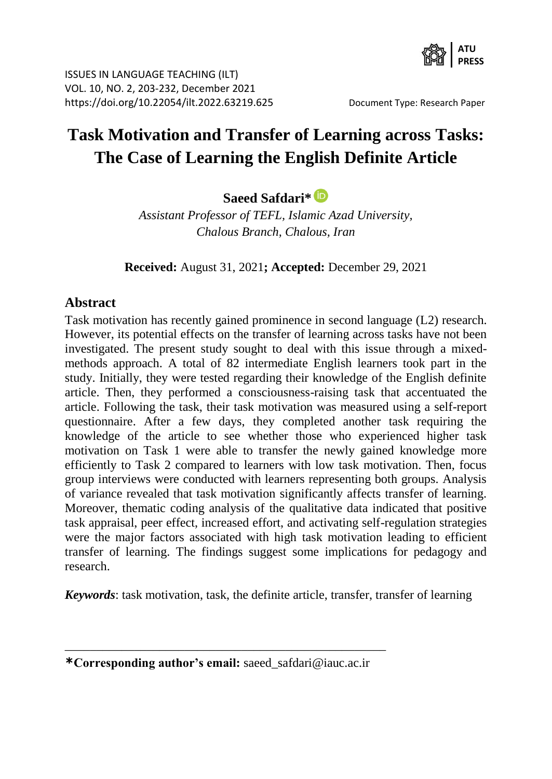

# **Task Motivation and Transfer of Learning across Tasks: The Case of Learning the English Definite Article**

**Saeed Safdari\***

*Assistant Professor of TEFL, Islamic Azad University, Chalous Branch, Chalous, Iran*

**Received:** August 31, 2021**; Accepted:** December 29, 2021

### **Abstract**

Task motivation has recently gained prominence in second language (L2) research. However, its potential effects on the transfer of learning across tasks have not been investigated. The present study sought to deal with this issue through a mixedmethods approach. A total of 82 intermediate English learners took part in the study. Initially, they were tested regarding their knowledge of the English definite article. Then, they performed a consciousness-raising task that accentuated the article. Following the task, their task motivation was measured using a self-report questionnaire. After a few days, they completed another task requiring the knowledge of the article to see whether those who experienced higher task motivation on Task 1 were able to transfer the newly gained knowledge more efficiently to Task 2 compared to learners with low task motivation. Then, focus group interviews were conducted with learners representing both groups. Analysis of variance revealed that task motivation significantly affects transfer of learning. Moreover, thematic coding analysis of the qualitative data indicated that positive task appraisal, peer effect, increased effort, and activating self-regulation strategies were the major factors associated with high task motivation leading to efficient transfer of learning. The findings suggest some implications for pedagogy and research.

*Keywords*: task motivation, task, the definite article, transfer, transfer of learning

\_\_\_\_\_\_\_\_\_\_\_\_\_\_\_\_\_\_\_\_\_\_\_\_\_\_\_\_\_\_\_\_\_\_\_\_\_\_\_\_\_\_\_\_\_\_\_\_\_\_\_ **\*Corresponding author's email:** saeed\_safdari@iauc.ac.ir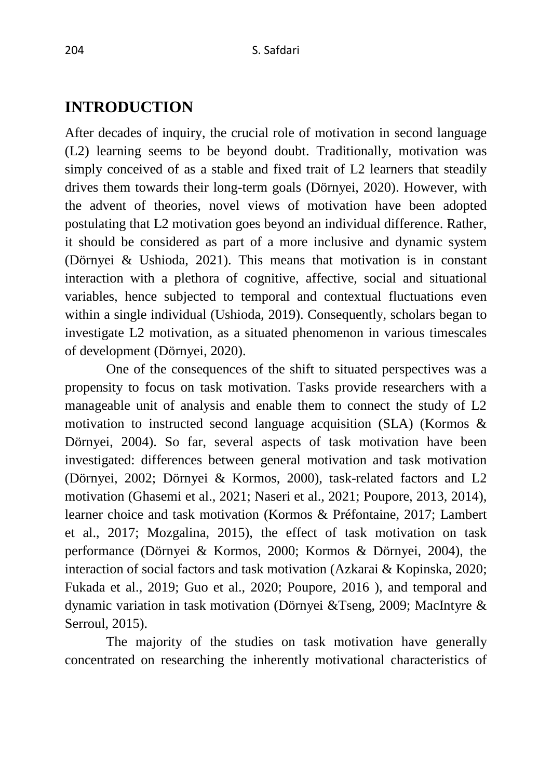# **INTRODUCTION**

After decades of inquiry, the crucial role of motivation in second language (L2) learning seems to be beyond doubt. Traditionally, motivation was simply conceived of as a stable and fixed trait of L2 learners that steadily drives them towards their long-term goals (Dörnyei, 2020). However, with the advent of theories, novel views of motivation have been adopted postulating that L2 motivation goes beyond an individual difference. Rather, it should be considered as part of a more inclusive and dynamic system (Dörnyei & Ushioda, 2021). This means that motivation is in constant interaction with a plethora of cognitive, affective, social and situational variables, hence subjected to temporal and contextual fluctuations even within a single individual (Ushioda, 2019). Consequently, scholars began to investigate L2 motivation, as a situated phenomenon in various timescales of development (Dörnyei, 2020).

One of the consequences of the shift to situated perspectives was a propensity to focus on task motivation. Tasks provide researchers with a manageable unit of analysis and enable them to connect the study of L2 motivation to instructed second language acquisition (SLA) (Kormos & Dörnyei, 2004). So far, several aspects of task motivation have been investigated: differences between general motivation and task motivation (Dörnyei, 2002; Dörnyei & Kormos, 2000), task-related factors and L2 motivation (Ghasemi et al., 2021; Naseri et al., 2021; Poupore, 2013, 2014), learner choice and task motivation (Kormos & Préfontaine, 2017; Lambert et al., 2017; Mozgalina, 2015), the effect of task motivation on task performance (Dörnyei & Kormos, 2000; Kormos & Dörnyei, 2004), the interaction of social factors and task motivation (Azkarai & Kopinska, 2020; Fukada et al., 2019; Guo et al., 2020; Poupore, 2016 ), and temporal and dynamic variation in task motivation (Dörnyei &Tseng, 2009; MacIntyre & Serroul, 2015).

The majority of the studies on task motivation have generally concentrated on researching the inherently motivational characteristics of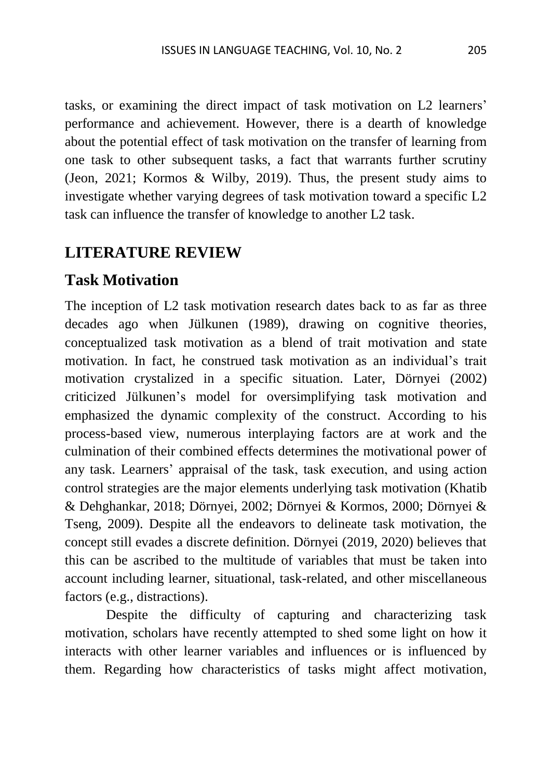tasks, or examining the direct impact of task motivation on L2 learners' performance and achievement. However, there is a dearth of knowledge about the potential effect of task motivation on the transfer of learning from one task to other subsequent tasks, a fact that warrants further scrutiny (Jeon, 2021; Kormos & Wilby, 2019). Thus, the present study aims to investigate whether varying degrees of task motivation toward a specific L2 task can influence the transfer of knowledge to another L2 task.

### **LITERATURE REVIEW**

## **Task Motivation**

The inception of L2 task motivation research dates back to as far as three decades ago when Jülkunen (1989), drawing on cognitive theories, conceptualized task motivation as a blend of trait motivation and state motivation. In fact, he construed task motivation as an individual's trait motivation crystalized in a specific situation. Later, Dörnyei (2002) criticized Jülkunen's model for oversimplifying task motivation and emphasized the dynamic complexity of the construct. According to his process-based view, numerous interplaying factors are at work and the culmination of their combined effects determines the motivational power of any task. Learners' appraisal of the task, task execution, and using action control strategies are the major elements underlying task motivation (Khatib & Dehghankar, 2018; Dörnyei, 2002; Dörnyei & Kormos, 2000; Dörnyei & Tseng, 2009). Despite all the endeavors to delineate task motivation, the concept still evades a discrete definition. Dörnyei (2019, 2020) believes that this can be ascribed to the multitude of variables that must be taken into account including learner, situational, task-related, and other miscellaneous factors (e.g., distractions).

Despite the difficulty of capturing and characterizing task motivation, scholars have recently attempted to shed some light on how it interacts with other learner variables and influences or is influenced by them. Regarding how characteristics of tasks might affect motivation,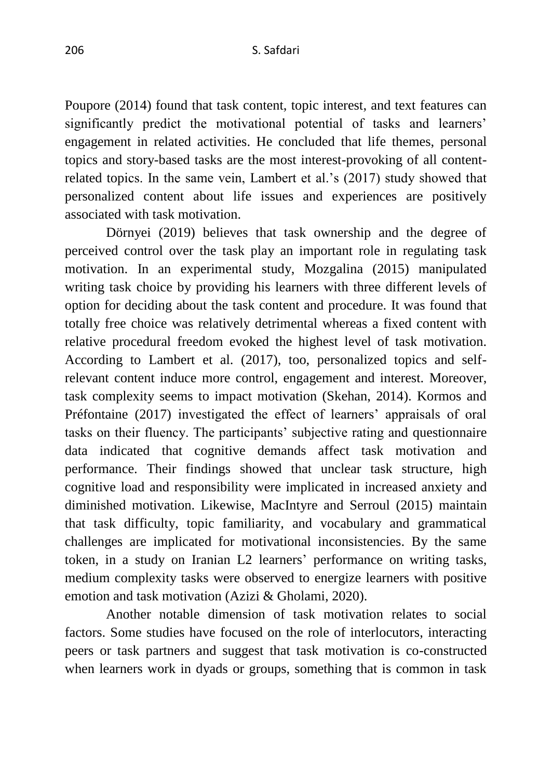Poupore (2014) found that task content, topic interest, and text features can significantly predict the motivational potential of tasks and learners' engagement in related activities. He concluded that life themes, personal topics and story-based tasks are the most interest-provoking of all contentrelated topics. In the same vein, Lambert et al.'s (2017) study showed that personalized content about life issues and experiences are positively associated with task motivation.

Dörnyei (2019) believes that task ownership and the degree of perceived control over the task play an important role in regulating task motivation. In an experimental study, Mozgalina (2015) manipulated writing task choice by providing his learners with three different levels of option for deciding about the task content and procedure. It was found that totally free choice was relatively detrimental whereas a fixed content with relative procedural freedom evoked the highest level of task motivation. According to Lambert et al. (2017), too, personalized topics and selfrelevant content induce more control, engagement and interest. Moreover, task complexity seems to impact motivation (Skehan, 2014). Kormos and Préfontaine (2017) investigated the effect of learners' appraisals of oral tasks on their fluency. The participants' subjective rating and questionnaire data indicated that cognitive demands affect task motivation and performance. Their findings showed that unclear task structure, high cognitive load and responsibility were implicated in increased anxiety and diminished motivation. Likewise, MacIntyre and Serroul (2015) maintain that task difficulty, topic familiarity, and vocabulary and grammatical challenges are implicated for motivational inconsistencies. By the same token, in a study on Iranian L2 learners' performance on writing tasks, medium complexity tasks were observed to energize learners with positive emotion and task motivation (Azizi & Gholami, 2020).

Another notable dimension of task motivation relates to social factors. Some studies have focused on the role of interlocutors, interacting peers or task partners and suggest that task motivation is co-constructed when learners work in dyads or groups, something that is common in task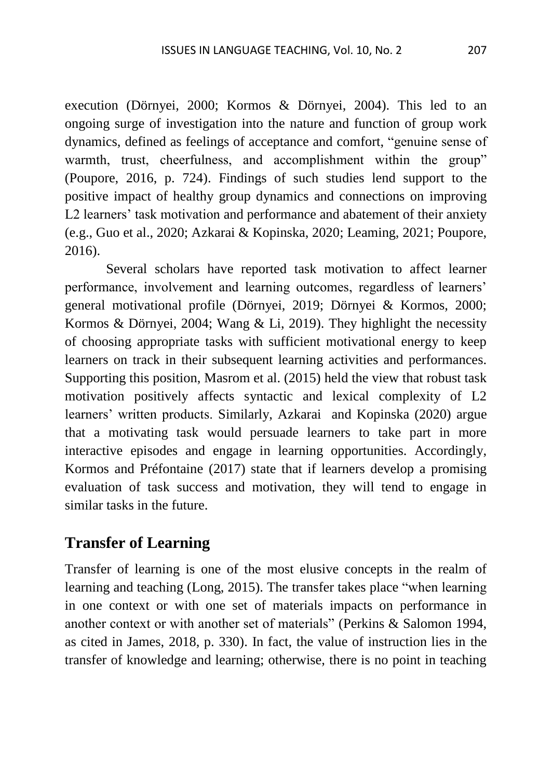execution (Dörnyei, 2000; Kormos & Dörnyei, 2004). This led to an ongoing surge of investigation into the nature and function of group work dynamics, defined as feelings of acceptance and comfort, "genuine sense of warmth, trust, cheerfulness, and accomplishment within the group" (Poupore, 2016, p. 724). Findings of such studies lend support to the positive impact of healthy group dynamics and connections on improving L2 learners' task motivation and performance and abatement of their anxiety (e.g., Guo et al., 2020; Azkarai & Kopinska, 2020; Leaming, 2021; Poupore, 2016).

Several scholars have reported task motivation to affect learner performance, involvement and learning outcomes, regardless of learners' general motivational profile (Dörnyei, 2019; Dörnyei & Kormos, 2000; Kormos & Dörnyei, 2004; Wang & Li, 2019). They highlight the necessity of choosing appropriate tasks with sufficient motivational energy to keep learners on track in their subsequent learning activities and performances. Supporting this position, Masrom et al. (2015) held the view that robust task motivation positively affects syntactic and lexical complexity of L2 learners' written products. Similarly, Azkarai and Kopinska (2020) argue that a motivating task would persuade learners to take part in more interactive episodes and engage in learning opportunities. Accordingly, Kormos and Préfontaine (2017) state that if learners develop a promising evaluation of task success and motivation, they will tend to engage in similar tasks in the future.

## **Transfer of Learning**

Transfer of learning is one of the most elusive concepts in the realm of learning and teaching (Long, 2015). The transfer takes place "when learning in one context or with one set of materials impacts on performance in another context or with another set of materials" (Perkins & Salomon 1994, as cited in James, 2018, p. 330). In fact, the value of instruction lies in the transfer of knowledge and learning; otherwise, there is no point in teaching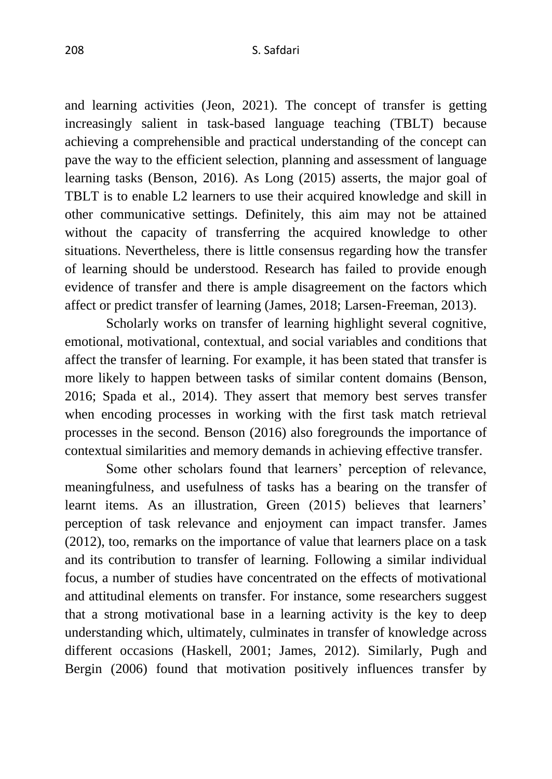and learning activities (Jeon, 2021). The concept of transfer is getting increasingly salient in task-based language teaching (TBLT) because achieving a comprehensible and practical understanding of the concept can pave the way to the efficient selection, planning and assessment of language learning tasks (Benson, 2016). As Long (2015) asserts, the major goal of TBLT is to enable L2 learners to use their acquired knowledge and skill in other communicative settings. Definitely, this aim may not be attained without the capacity of transferring the acquired knowledge to other situations. Nevertheless, there is little consensus regarding how the transfer of learning should be understood. Research has failed to provide enough evidence of transfer and there is ample disagreement on the factors which affect or predict transfer of learning (James, 2018; Larsen-Freeman, 2013).

Scholarly works on transfer of learning highlight several cognitive, emotional, motivational, contextual, and social variables and conditions that affect the transfer of learning. For example, it has been stated that transfer is more likely to happen between tasks of similar content domains (Benson, 2016; Spada et al., 2014). They assert that memory best serves transfer when encoding processes in working with the first task match retrieval processes in the second. Benson (2016) also foregrounds the importance of contextual similarities and memory demands in achieving effective transfer.

Some other scholars found that learners' perception of relevance, meaningfulness, and usefulness of tasks has a bearing on the transfer of learnt items. As an illustration, Green (2015) believes that learners' perception of task relevance and enjoyment can impact transfer. James (2012), too, remarks on the importance of value that learners place on a task and its contribution to transfer of learning. Following a similar individual focus, a number of studies have concentrated on the effects of motivational and attitudinal elements on transfer. For instance, some researchers suggest that a strong motivational base in a learning activity is the key to deep understanding which, ultimately, culminates in transfer of knowledge across different occasions (Haskell, 2001; James, 2012). Similarly, Pugh and Bergin (2006) found that motivation positively influences transfer by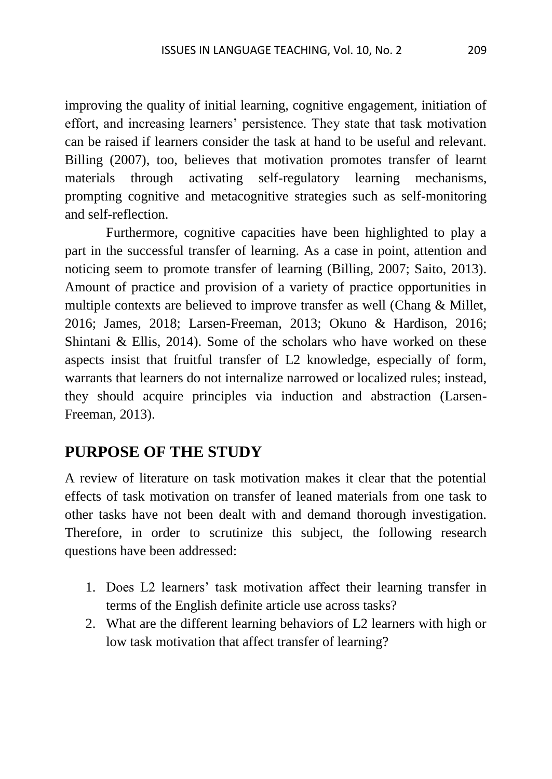improving the quality of initial learning, cognitive engagement, initiation of effort, and increasing learners' persistence. They state that task motivation can be raised if learners consider the task at hand to be useful and relevant. Billing (2007), too, believes that motivation promotes transfer of learnt materials through activating self-regulatory learning mechanisms, prompting cognitive and metacognitive strategies such as self-monitoring and self-reflection.

Furthermore, cognitive capacities have been highlighted to play a part in the successful transfer of learning. As a case in point, attention and noticing seem to promote transfer of learning (Billing, 2007; Saito, 2013). Amount of practice and provision of a variety of practice opportunities in multiple contexts are believed to improve transfer as well (Chang & Millet, 2016; James, 2018; Larsen-Freeman, 2013; Okuno & Hardison, 2016; Shintani & Ellis, 2014). Some of the scholars who have worked on these aspects insist that fruitful transfer of L2 knowledge, especially of form, warrants that learners do not internalize narrowed or localized rules; instead, they should acquire principles via induction and abstraction (Larsen-Freeman, 2013).

# **PURPOSE OF THE STUDY**

A review of literature on task motivation makes it clear that the potential effects of task motivation on transfer of leaned materials from one task to other tasks have not been dealt with and demand thorough investigation. Therefore, in order to scrutinize this subject, the following research questions have been addressed:

- 1. Does L2 learners' task motivation affect their learning transfer in terms of the English definite article use across tasks?
- 2. What are the different learning behaviors of L2 learners with high or low task motivation that affect transfer of learning?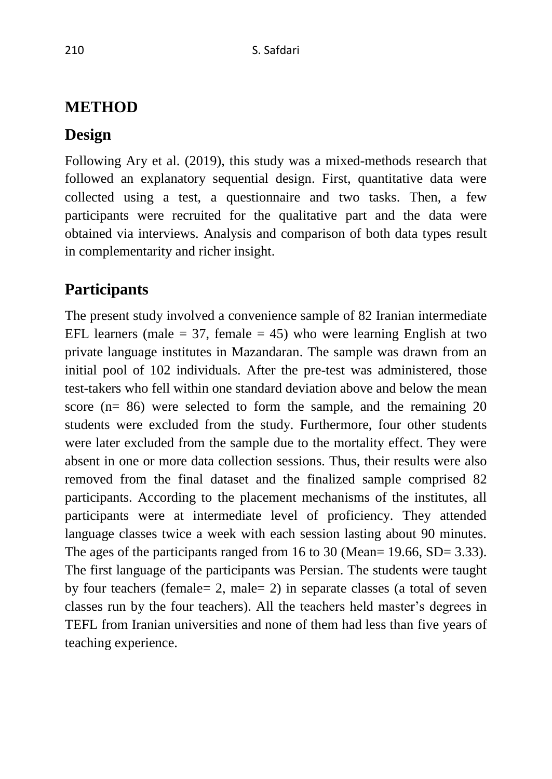# **METHOD**

# **Design**

Following Ary et al. (2019), this study was a mixed-methods research that followed an explanatory sequential design. First, quantitative data were collected using a test, a questionnaire and two tasks. Then, a few participants were recruited for the qualitative part and the data were obtained via interviews. Analysis and comparison of both data types result in complementarity and richer insight.

# **Participants**

The present study involved a convenience sample of 82 Iranian intermediate EFL learners (male  $= 37$ , female  $= 45$ ) who were learning English at two private language institutes in Mazandaran. The sample was drawn from an initial pool of 102 individuals. After the pre-test was administered, those test-takers who fell within one standard deviation above and below the mean score (n= 86) were selected to form the sample, and the remaining 20 students were excluded from the study. Furthermore, four other students were later excluded from the sample due to the mortality effect. They were absent in one or more data collection sessions. Thus, their results were also removed from the final dataset and the finalized sample comprised 82 participants. According to the placement mechanisms of the institutes, all participants were at intermediate level of proficiency. They attended language classes twice a week with each session lasting about 90 minutes. The ages of the participants ranged from 16 to 30 (Mean= 19.66, SD= 3.33). The first language of the participants was Persian. The students were taught by four teachers (female= 2, male= 2) in separate classes (a total of seven classes run by the four teachers). All the teachers held master's degrees in TEFL from Iranian universities and none of them had less than five years of teaching experience.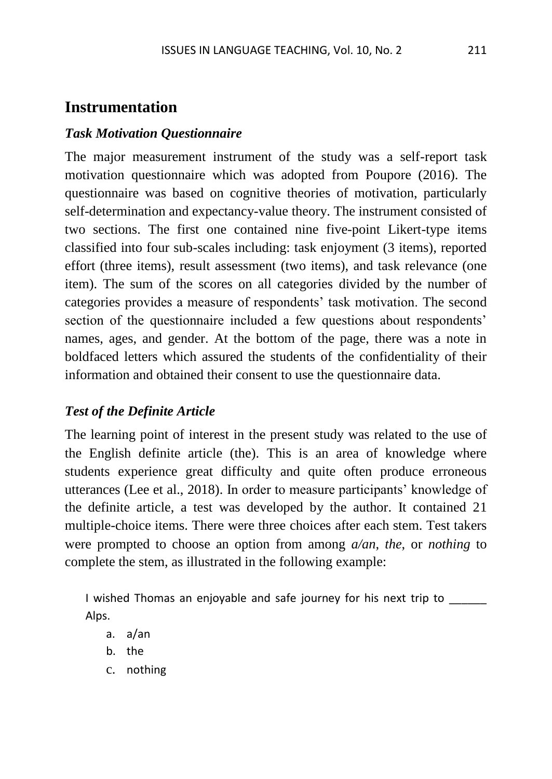## **Instrumentation**

#### *Task Motivation Questionnaire*

The major measurement instrument of the study was a self-report task motivation questionnaire which was adopted from Poupore (2016). The questionnaire was based on cognitive theories of motivation, particularly self-determination and expectancy-value theory. The instrument consisted of two sections. The first one contained nine five-point Likert-type items classified into four sub-scales including: task enjoyment (3 items), reported effort (three items), result assessment (two items), and task relevance (one item). The sum of the scores on all categories divided by the number of categories provides a measure of respondents' task motivation. The second section of the questionnaire included a few questions about respondents' names, ages, and gender. At the bottom of the page, there was a note in boldfaced letters which assured the students of the confidentiality of their information and obtained their consent to use the questionnaire data.

### *Test of the Definite Article*

The learning point of interest in the present study was related to the use of the English definite article (the). This is an area of knowledge where students experience great difficulty and quite often produce erroneous utterances (Lee et al., 2018). In order to measure participants' knowledge of the definite article, a test was developed by the author. It contained 21 multiple-choice items. There were three choices after each stem. Test takers were prompted to choose an option from among *a/an*, *the*, or *nothing* to complete the stem, as illustrated in the following example:

I wished Thomas an enjoyable and safe journey for his next trip to Alps.

- a. a/an
- b. the
- c. nothing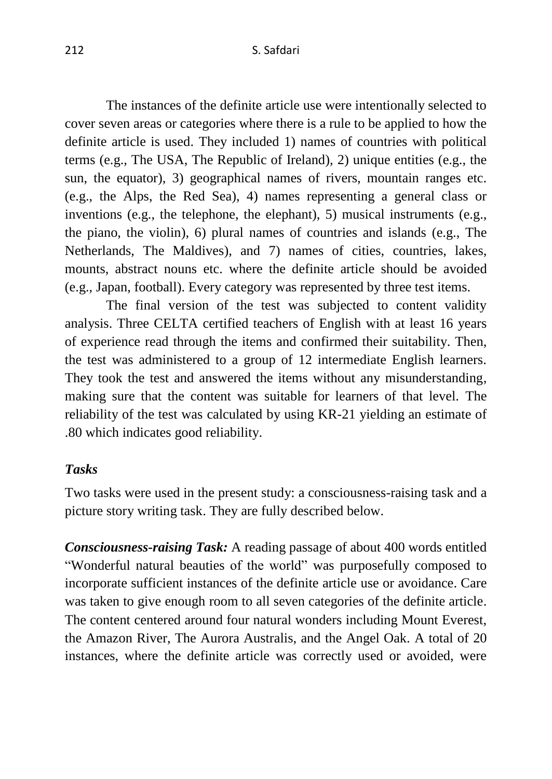The instances of the definite article use were intentionally selected to cover seven areas or categories where there is a rule to be applied to how the definite article is used. They included 1) names of countries with political terms (e.g., The USA, The Republic of Ireland), 2) unique entities (e.g., the sun, the equator), 3) geographical names of rivers, mountain ranges etc. (e.g., the Alps, the Red Sea), 4) names representing a general class or inventions (e.g., the telephone, the elephant), 5) musical instruments (e.g., the piano, the violin), 6) plural names of countries and islands (e.g., The Netherlands, The Maldives), and 7) names of cities, countries, lakes, mounts, abstract nouns etc. where the definite article should be avoided (e.g., Japan, football). Every category was represented by three test items.

The final version of the test was subjected to content validity analysis. Three CELTA certified teachers of English with at least 16 years of experience read through the items and confirmed their suitability. Then, the test was administered to a group of 12 intermediate English learners. They took the test and answered the items without any misunderstanding, making sure that the content was suitable for learners of that level. The reliability of the test was calculated by using KR-21 yielding an estimate of .80 which indicates good reliability.

#### *Tasks*

Two tasks were used in the present study: a consciousness-raising task and a picture story writing task. They are fully described below.

*Consciousness-raising Task:* A reading passage of about 400 words entitled "Wonderful natural beauties of the world" was purposefully composed to incorporate sufficient instances of the definite article use or avoidance. Care was taken to give enough room to all seven categories of the definite article. The content centered around four natural wonders including Mount Everest, the Amazon River, The Aurora Australis, and the Angel Oak. A total of 20 instances, where the definite article was correctly used or avoided, were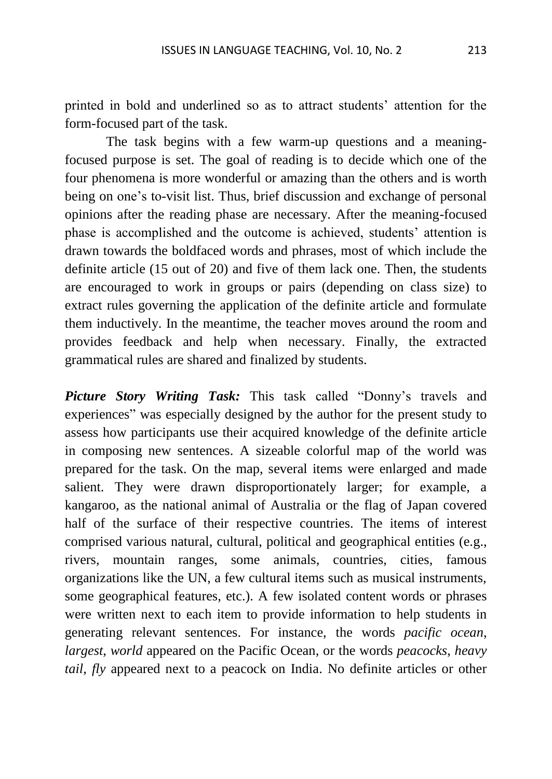printed in bold and underlined so as to attract students' attention for the form-focused part of the task.

The task begins with a few warm-up questions and a meaningfocused purpose is set. The goal of reading is to decide which one of the four phenomena is more wonderful or amazing than the others and is worth being on one's to-visit list. Thus, brief discussion and exchange of personal opinions after the reading phase are necessary. After the meaning-focused phase is accomplished and the outcome is achieved, students' attention is drawn towards the boldfaced words and phrases, most of which include the definite article (15 out of 20) and five of them lack one. Then, the students are encouraged to work in groups or pairs (depending on class size) to extract rules governing the application of the definite article and formulate them inductively. In the meantime, the teacher moves around the room and provides feedback and help when necessary. Finally, the extracted grammatical rules are shared and finalized by students.

*Picture Story Writing Task:* This task called "Donny's travels and experiences" was especially designed by the author for the present study to assess how participants use their acquired knowledge of the definite article in composing new sentences. A sizeable colorful map of the world was prepared for the task. On the map, several items were enlarged and made salient. They were drawn disproportionately larger; for example, a kangaroo, as the national animal of Australia or the flag of Japan covered half of the surface of their respective countries. The items of interest comprised various natural, cultural, political and geographical entities (e.g., rivers, mountain ranges, some animals, countries, cities, famous organizations like the UN, a few cultural items such as musical instruments, some geographical features, etc.). A few isolated content words or phrases were written next to each item to provide information to help students in generating relevant sentences. For instance, the words *pacific ocean*, *largest*, *world* appeared on the Pacific Ocean, or the words *peacocks*, *heavy tail*, *fly* appeared next to a peacock on India. No definite articles or other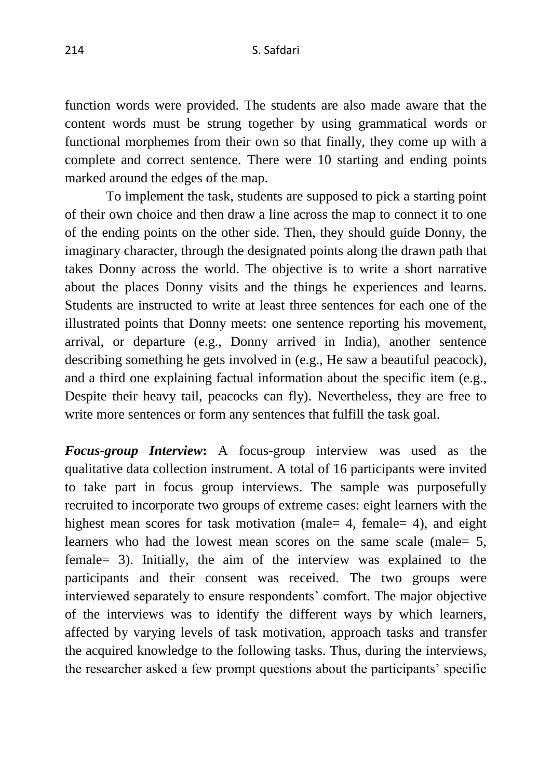function words were provided. The students are also made aware that the content words must be strung together by using grammatical words or functional morphemes from their own so that finally, they come up with a complete and correct sentence. There were 10 starting and ending points marked around the edges of the map.

To implement the task, students are supposed to pick a starting point of their own choice and then draw a line across the map to connect it to one of the ending points on the other side. Then, they should guide Donny, the imaginary character, through the designated points along the drawn path that takes Donny across the world. The objective is to write a short narrative about the places Donny visits and the things he experiences and learns. Students are instructed to write at least three sentences for each one of the illustrated points that Donny meets: one sentence reporting his movement, arrival, or departure (e.g., Donny arrived in India), another sentence describing something he gets involved in (e.g., He saw a beautiful peacock), and a third one explaining factual information about the specific item (e.g., Despite their heavy tail, peacocks can fly). Nevertheless, they are free to write more sentences or form any sentences that fulfill the task goal.

*Focus-group Interview***:** A focus-group interview was used as the qualitative data collection instrument. A total of 16 participants were invited to take part in focus group interviews. The sample was purposefully recruited to incorporate two groups of extreme cases: eight learners with the highest mean scores for task motivation (male= 4, female= 4), and eight learners who had the lowest mean scores on the same scale (male = 5, female= 3). Initially, the aim of the interview was explained to the participants and their consent was received. The two groups were interviewed separately to ensure respondents' comfort. The major objective of the interviews was to identify the different ways by which learners, affected by varying levels of task motivation, approach tasks and transfer the acquired knowledge to the following tasks. Thus, during the interviews, the researcher asked a few prompt questions about the participants' specific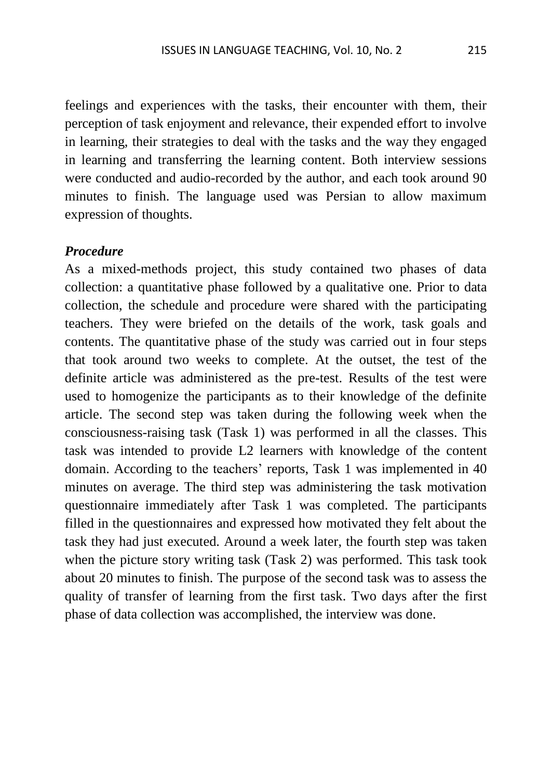feelings and experiences with the tasks, their encounter with them, their perception of task enjoyment and relevance, their expended effort to involve in learning, their strategies to deal with the tasks and the way they engaged in learning and transferring the learning content. Both interview sessions were conducted and audio-recorded by the author, and each took around 90 minutes to finish. The language used was Persian to allow maximum expression of thoughts.

#### *Procedure*

As a mixed-methods project, this study contained two phases of data collection: a quantitative phase followed by a qualitative one. Prior to data collection, the schedule and procedure were shared with the participating teachers. They were briefed on the details of the work, task goals and contents. The quantitative phase of the study was carried out in four steps that took around two weeks to complete. At the outset, the test of the definite article was administered as the pre-test. Results of the test were used to homogenize the participants as to their knowledge of the definite article. The second step was taken during the following week when the consciousness-raising task (Task 1) was performed in all the classes. This task was intended to provide L2 learners with knowledge of the content domain. According to the teachers' reports, Task 1 was implemented in 40 minutes on average. The third step was administering the task motivation questionnaire immediately after Task 1 was completed. The participants filled in the questionnaires and expressed how motivated they felt about the task they had just executed. Around a week later, the fourth step was taken when the picture story writing task (Task 2) was performed. This task took about 20 minutes to finish. The purpose of the second task was to assess the quality of transfer of learning from the first task. Two days after the first phase of data collection was accomplished, the interview was done.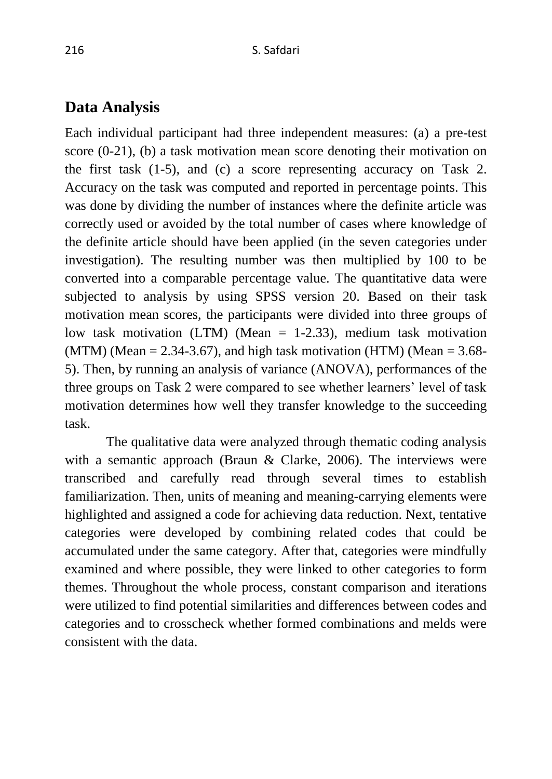### **Data Analysis**

Each individual participant had three independent measures: (a) a pre-test score (0-21), (b) a task motivation mean score denoting their motivation on the first task (1-5), and (c) a score representing accuracy on Task 2. Accuracy on the task was computed and reported in percentage points. This was done by dividing the number of instances where the definite article was correctly used or avoided by the total number of cases where knowledge of the definite article should have been applied (in the seven categories under investigation). The resulting number was then multiplied by 100 to be converted into a comparable percentage value. The quantitative data were subjected to analysis by using SPSS version 20. Based on their task motivation mean scores, the participants were divided into three groups of low task motivation (LTM) (Mean = 1-2.33), medium task motivation (MTM) (Mean  $= 2.34 - 3.67$ ), and high task motivation (HTM) (Mean  $= 3.68 - 3.67$ ) 5). Then, by running an analysis of variance (ANOVA), performances of the three groups on Task 2 were compared to see whether learners' level of task motivation determines how well they transfer knowledge to the succeeding task.

The qualitative data were analyzed through thematic coding analysis with a semantic approach (Braun & Clarke, 2006). The interviews were transcribed and carefully read through several times to establish familiarization. Then, units of meaning and meaning-carrying elements were highlighted and assigned a code for achieving data reduction. Next, tentative categories were developed by combining related codes that could be accumulated under the same category. After that, categories were mindfully examined and where possible, they were linked to other categories to form themes. Throughout the whole process, constant comparison and iterations were utilized to find potential similarities and differences between codes and categories and to crosscheck whether formed combinations and melds were consistent with the data.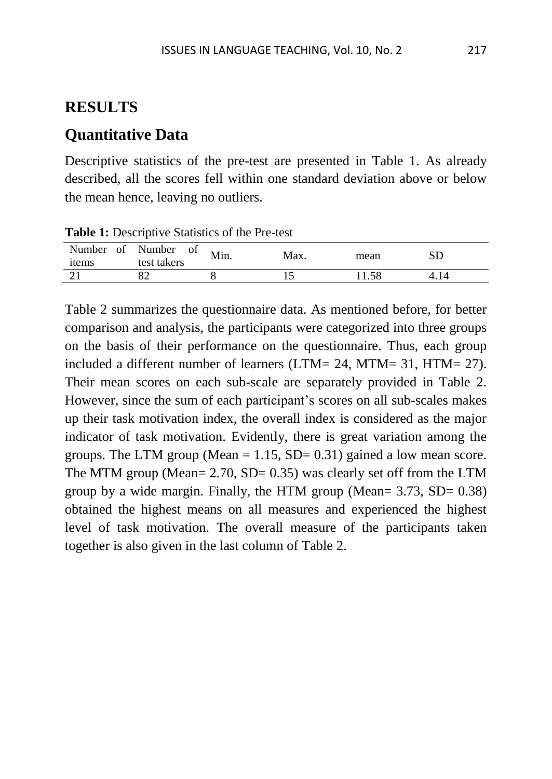## **RESULTS**

# **Quantitative Data**

Descriptive statistics of the pre-test are presented in Table 1. As already described, all the scores fell within one standard deviation above or below the mean hence, leaving no outliers.

| Number of<br>items | Number<br>of<br>test takers | Min. | Max. | mean |  |
|--------------------|-----------------------------|------|------|------|--|
|                    |                             |      |      |      |  |

**Table 1:** Descriptive Statistics of the Pre-test

Table 2 summarizes the questionnaire data. As mentioned before, for better comparison and analysis, the participants were categorized into three groups on the basis of their performance on the questionnaire. Thus, each group included a different number of learners (LTM= 24, MTM= 31, HTM= 27). Their mean scores on each sub-scale are separately provided in Table 2. However, since the sum of each participant's scores on all sub-scales makes up their task motivation index, the overall index is considered as the major indicator of task motivation. Evidently, there is great variation among the groups. The LTM group (Mean  $= 1.15$ , SD $= 0.31$ ) gained a low mean score. The MTM group (Mean=  $2.70$ , SD=  $0.35$ ) was clearly set off from the LTM group by a wide margin. Finally, the HTM group (Mean=  $3.73$ , SD=  $0.38$ ) obtained the highest means on all measures and experienced the highest level of task motivation. The overall measure of the participants taken together is also given in the last column of Table 2.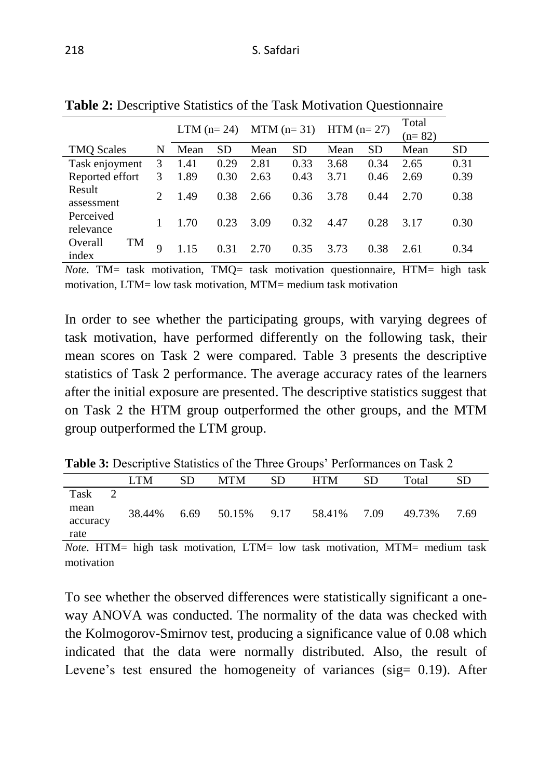|                               |                             | $LTM$ (n= 24) |           | MTM $(n=31)$ HTM $(n=27)$ |      |      |      | Total<br>$(n=82)$ |      |
|-------------------------------|-----------------------------|---------------|-----------|---------------------------|------|------|------|-------------------|------|
| <b>TMQ Scales</b>             | N                           | Mean          | <b>SD</b> | Mean                      | SD   | Mean | SD   | Mean              | SD   |
| Task enjoyment                | 3                           | 1.41          | 0.29      | 2.81                      | 0.33 | 3.68 | 0.34 | 2.65              | 0.31 |
| Reported effort               | 3                           | 1.89          | 0.30      | 2.63                      | 0.43 | 3.71 | 0.46 | 2.69              | 0.39 |
| Result<br>assessment          | $\mathcal{D}_{\mathcal{L}}$ | 1.49          | 0.38      | 2.66                      | 0.36 | 3.78 | 0.44 | 2.70              | 0.38 |
| Perceived<br>relevance        |                             | 1.70          | 0.23      | 3.09                      | 0.32 | 4.47 | 0.28 | 3.17              | 0.30 |
| Overall<br><b>TM</b><br>index | 9                           | 1 1 5         | 0.31      | 2.70                      | 0.35 | 3.73 | 0.38 | 2.61              | 0.34 |

**Table 2:** Descriptive Statistics of the Task Motivation Questionnaire

*Note*. TM= task motivation, TMQ= task motivation questionnaire, HTM= high task motivation, LTM= low task motivation, MTM= medium task motivation

In order to see whether the participating groups, with varying degrees of task motivation, have performed differently on the following task, their mean scores on Task 2 were compared. Table 3 presents the descriptive statistics of Task 2 performance. The average accuracy rates of the learners after the initial exposure are presented. The descriptive statistics suggest that on Task 2 the HTM group outperformed the other groups, and the MTM group outperformed the LTM group.

**Table 3:** Descriptive Statistics of the Three Groups' Performances on Task 2

|          | <b>LTM</b> | SD   | MTM         | SD | <b>HTM</b>  | <b>SD</b> | Total  | SD   |
|----------|------------|------|-------------|----|-------------|-----------|--------|------|
| Task     |            |      |             |    |             |           |        |      |
| mean     | 38.44%     | 6.69 | 50.15% 9.17 |    | 58.41% 7.09 |           | 49.73% | 7.69 |
| accuracy |            |      |             |    |             |           |        |      |
| rate     |            |      |             |    |             |           |        |      |

*Note*. HTM= high task motivation, LTM= low task motivation, MTM= medium task motivation

To see whether the observed differences were statistically significant a oneway ANOVA was conducted. The normality of the data was checked with the Kolmogorov-Smirnov test, producing a significance value of 0.08 which indicated that the data were normally distributed. Also, the result of Levene's test ensured the homogeneity of variances (sig= 0.19). After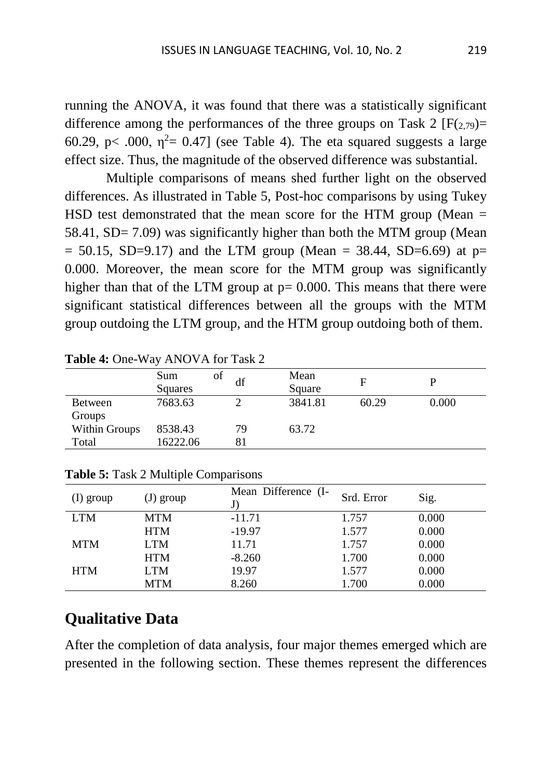running the ANOVA, it was found that there was a statistically significant difference among the performances of the three groups on Task 2  $[F(2,79)]=$ 60.29, p< .000,  $\eta^2$  = 0.47] (see Table 4). The eta squared suggests a large effect size. Thus, the magnitude of the observed difference was substantial.

Multiple comparisons of means shed further light on the observed differences. As illustrated in Table 5, Post-hoc comparisons by using Tukey HSD test demonstrated that the mean score for the HTM group (Mean  $=$ 58.41, SD= 7.09) was significantly higher than both the MTM group (Mean  $= 50.15$ , SD=9.17) and the LTM group (Mean  $= 38.44$ , SD=6.69) at p= 0.000. Moreover, the mean score for the MTM group was significantly higher than that of the LTM group at  $p = 0.000$ . This means that there were significant statistical differences between all the groups with the MTM group outdoing the LTM group, and the HTM group outdoing both of them.

| Sum<br>Squares | οf<br>df | Mean<br>Square |       |       |
|----------------|----------|----------------|-------|-------|
| 7683.63        |          | 3841.81        | 60.29 | 0.000 |
|                |          |                |       |       |
| 8538.43        | 79       | 63.72          |       |       |
| 16222.06       |          |                |       |       |
|                |          |                |       |       |

**Table 4:** One-Way ANOVA for Task 2

| $(1)$ group | $J)$ group | Mean Difference (I- | Srd. Error | Sig.  |
|-------------|------------|---------------------|------------|-------|
| <b>LTM</b>  | <b>MTM</b> | $-11.71$            | 1.757      | 0.000 |
|             | <b>HTM</b> | $-19.97$            | 1.577      | 0.000 |
| <b>MTM</b>  | <b>LTM</b> | 11.71               | 1.757      | 0.000 |
|             | <b>HTM</b> | $-8.260$            | 1.700      | 0.000 |
| <b>HTM</b>  | <b>LTM</b> | 19.97               | 1.577      | 0.000 |
|             | <b>MTM</b> | 8.260               | 1.700      | 0.000 |

**Table 5:** Task 2 Multiple Comparisons

# **Qualitative Data**

After the completion of data analysis, four major themes emerged which are presented in the following section. These themes represent the differences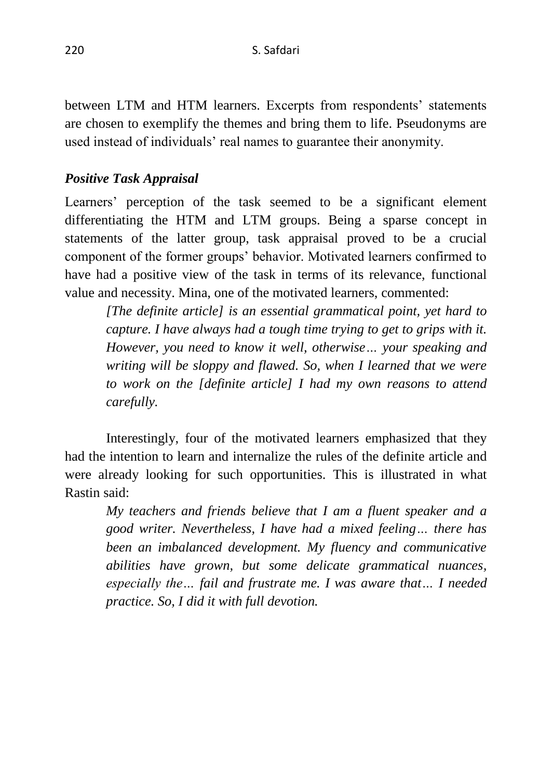between LTM and HTM learners. Excerpts from respondents' statements are chosen to exemplify the themes and bring them to life. Pseudonyms are used instead of individuals' real names to guarantee their anonymity.

### *Positive Task Appraisal*

Learners' perception of the task seemed to be a significant element differentiating the HTM and LTM groups. Being a sparse concept in statements of the latter group, task appraisal proved to be a crucial component of the former groups' behavior. Motivated learners confirmed to have had a positive view of the task in terms of its relevance, functional value and necessity. Mina, one of the motivated learners, commented:

*[The definite article] is an essential grammatical point, yet hard to capture. I have always had a tough time trying to get to grips with it. However, you need to know it well, otherwise… your speaking and writing will be sloppy and flawed. So, when I learned that we were to work on the [definite article] I had my own reasons to attend carefully.*

Interestingly, four of the motivated learners emphasized that they had the intention to learn and internalize the rules of the definite article and were already looking for such opportunities. This is illustrated in what Rastin said:

*My teachers and friends believe that I am a fluent speaker and a good writer. Nevertheless, I have had a mixed feeling… there has been an imbalanced development. My fluency and communicative abilities have grown, but some delicate grammatical nuances, especially the… fail and frustrate me. I was aware that… I needed practice. So, I did it with full devotion.*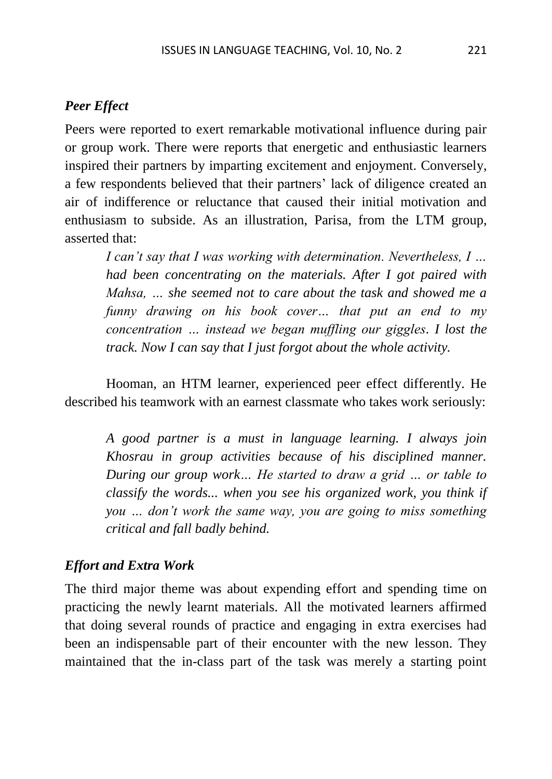#### *Peer Effect*

Peers were reported to exert remarkable motivational influence during pair or group work. There were reports that energetic and enthusiastic learners inspired their partners by imparting excitement and enjoyment. Conversely, a few respondents believed that their partners' lack of diligence created an air of indifference or reluctance that caused their initial motivation and enthusiasm to subside. As an illustration, Parisa, from the LTM group, asserted that:

*I can't say that I was working with determination. Nevertheless, I … had been concentrating on the materials. After I got paired with Mahsa, … she seemed not to care about the task and showed me a funny drawing on his book cover… that put an end to my concentration … instead we began muffling our giggles. I lost the track. Now I can say that I just forgot about the whole activity.*

Hooman, an HTM learner, experienced peer effect differently. He described his teamwork with an earnest classmate who takes work seriously:

*A good partner is a must in language learning. I always join Khosrau in group activities because of his disciplined manner. During our group work… He started to draw a grid … or table to classify the words... when you see his organized work, you think if you … don't work the same way, you are going to miss something critical and fall badly behind.*

#### *Effort and Extra Work*

The third major theme was about expending effort and spending time on practicing the newly learnt materials. All the motivated learners affirmed that doing several rounds of practice and engaging in extra exercises had been an indispensable part of their encounter with the new lesson. They maintained that the in-class part of the task was merely a starting point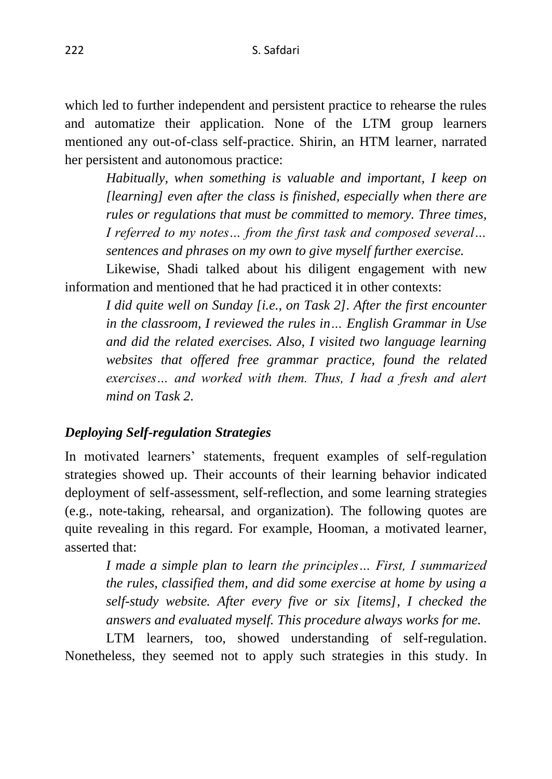which led to further independent and persistent practice to rehearse the rules and automatize their application. None of the LTM group learners mentioned any out-of-class self-practice. Shirin, an HTM learner, narrated her persistent and autonomous practice:

*Habitually, when something is valuable and important, I keep on [learning] even after the class is finished, especially when there are rules or regulations that must be committed to memory. Three times, I referred to my notes… from the first task and composed several… sentences and phrases on my own to give myself further exercise.*

Likewise, Shadi talked about his diligent engagement with new information and mentioned that he had practiced it in other contexts:

*I did quite well on Sunday [i.e., on Task 2]. After the first encounter in the classroom, I reviewed the rules in… English Grammar in Use and did the related exercises. Also, I visited two language learning websites that offered free grammar practice, found the related exercises… and worked with them. Thus, I had a fresh and alert mind on Task 2.*

## *Deploying Self-regulation Strategies*

In motivated learners' statements, frequent examples of self-regulation strategies showed up. Their accounts of their learning behavior indicated deployment of self-assessment, self-reflection, and some learning strategies (e.g., note-taking, rehearsal, and organization). The following quotes are quite revealing in this regard. For example, Hooman, a motivated learner, asserted that:

*I made a simple plan to learn the principles… First, I summarized the rules, classified them, and did some exercise at home by using a self-study website. After every five or six [items], I checked the answers and evaluated myself. This procedure always works for me.*

LTM learners, too, showed understanding of self-regulation. Nonetheless, they seemed not to apply such strategies in this study. In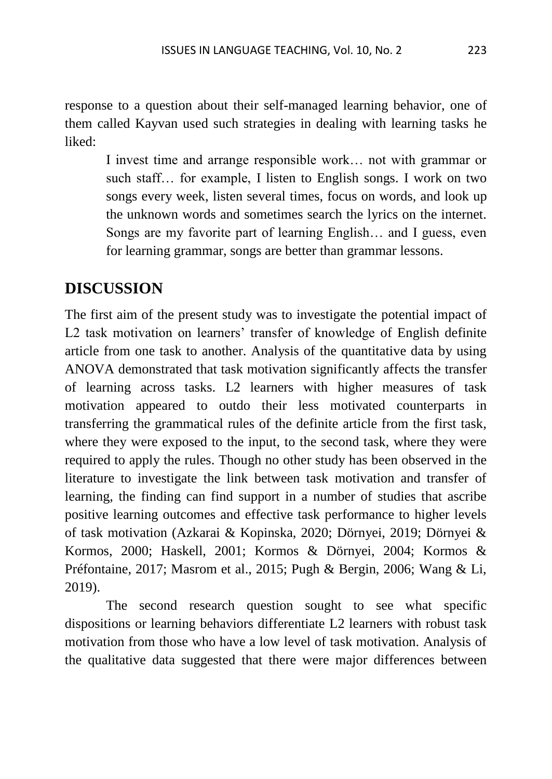response to a question about their self-managed learning behavior, one of them called Kayvan used such strategies in dealing with learning tasks he liked:

I invest time and arrange responsible work… not with grammar or such staff… for example, I listen to English songs. I work on two songs every week, listen several times, focus on words, and look up the unknown words and sometimes search the lyrics on the internet. Songs are my favorite part of learning English… and I guess, even for learning grammar, songs are better than grammar lessons.

# **DISCUSSION**

The first aim of the present study was to investigate the potential impact of L2 task motivation on learners' transfer of knowledge of English definite article from one task to another. Analysis of the quantitative data by using ANOVA demonstrated that task motivation significantly affects the transfer of learning across tasks. L2 learners with higher measures of task motivation appeared to outdo their less motivated counterparts in transferring the grammatical rules of the definite article from the first task, where they were exposed to the input, to the second task, where they were required to apply the rules. Though no other study has been observed in the literature to investigate the link between task motivation and transfer of learning, the finding can find support in a number of studies that ascribe positive learning outcomes and effective task performance to higher levels of task motivation (Azkarai & Kopinska, 2020; Dörnyei, 2019; Dörnyei & Kormos, 2000; Haskell, 2001; Kormos & Dörnyei, 2004; Kormos & Préfontaine, 2017; Masrom et al., 2015; Pugh & Bergin, 2006; Wang & Li, 2019).

The second research question sought to see what specific dispositions or learning behaviors differentiate L2 learners with robust task motivation from those who have a low level of task motivation. Analysis of the qualitative data suggested that there were major differences between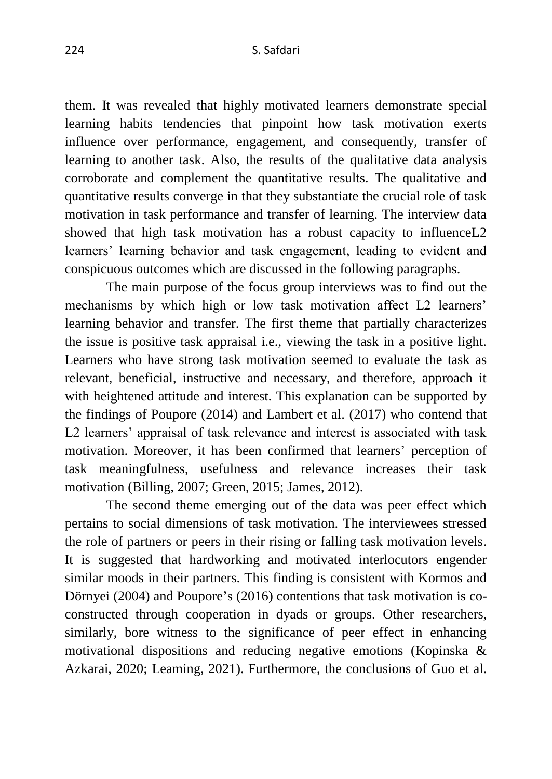them. It was revealed that highly motivated learners demonstrate special learning habits tendencies that pinpoint how task motivation exerts influence over performance, engagement, and consequently, transfer of learning to another task. Also, the results of the qualitative data analysis corroborate and complement the quantitative results. The qualitative and quantitative results converge in that they substantiate the crucial role of task motivation in task performance and transfer of learning. The interview data showed that high task motivation has a robust capacity to influenceL2 learners' learning behavior and task engagement, leading to evident and conspicuous outcomes which are discussed in the following paragraphs.

The main purpose of the focus group interviews was to find out the mechanisms by which high or low task motivation affect L2 learners' learning behavior and transfer. The first theme that partially characterizes the issue is positive task appraisal i.e., viewing the task in a positive light. Learners who have strong task motivation seemed to evaluate the task as relevant, beneficial, instructive and necessary, and therefore, approach it with heightened attitude and interest. This explanation can be supported by the findings of Poupore (2014) and Lambert et al. (2017) who contend that L2 learners' appraisal of task relevance and interest is associated with task motivation. Moreover, it has been confirmed that learners' perception of task meaningfulness, usefulness and relevance increases their task motivation (Billing, 2007; Green, 2015; James, 2012).

The second theme emerging out of the data was peer effect which pertains to social dimensions of task motivation. The interviewees stressed the role of partners or peers in their rising or falling task motivation levels. It is suggested that hardworking and motivated interlocutors engender similar moods in their partners. This finding is consistent with Kormos and Dörnyei (2004) and Poupore's (2016) contentions that task motivation is coconstructed through cooperation in dyads or groups. Other researchers, similarly, bore witness to the significance of peer effect in enhancing motivational dispositions and reducing negative emotions (Kopinska & Azkarai, 2020; Leaming, 2021). Furthermore, the conclusions of Guo et al.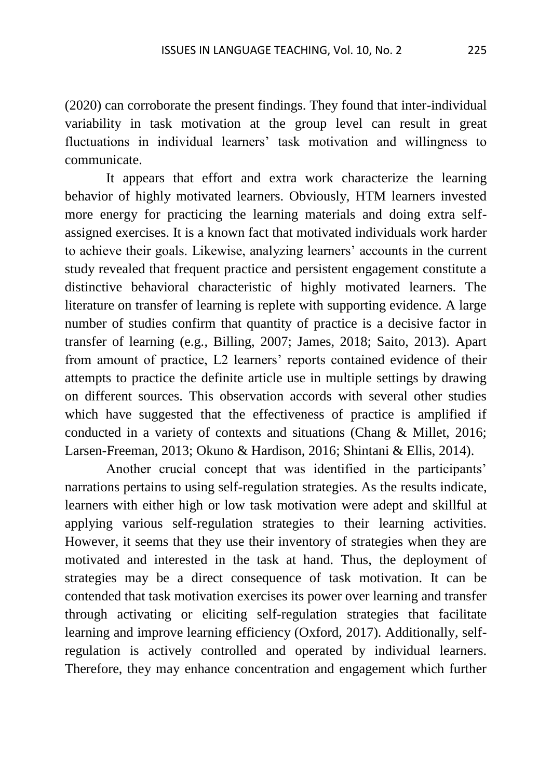(2020) can corroborate the present findings. They found that inter-individual variability in task motivation at the group level can result in great fluctuations in individual learners' task motivation and willingness to communicate.

It appears that effort and extra work characterize the learning behavior of highly motivated learners. Obviously, HTM learners invested more energy for practicing the learning materials and doing extra selfassigned exercises. It is a known fact that motivated individuals work harder to achieve their goals. Likewise, analyzing learners' accounts in the current study revealed that frequent practice and persistent engagement constitute a distinctive behavioral characteristic of highly motivated learners. The literature on transfer of learning is replete with supporting evidence. A large number of studies confirm that quantity of practice is a decisive factor in transfer of learning (e.g., Billing, 2007; James, 2018; Saito, 2013). Apart from amount of practice, L2 learners' reports contained evidence of their attempts to practice the definite article use in multiple settings by drawing on different sources. This observation accords with several other studies which have suggested that the effectiveness of practice is amplified if conducted in a variety of contexts and situations (Chang & Millet, 2016; Larsen-Freeman, 2013; Okuno & Hardison, 2016; Shintani & Ellis, 2014).

Another crucial concept that was identified in the participants' narrations pertains to using self-regulation strategies. As the results indicate, learners with either high or low task motivation were adept and skillful at applying various self-regulation strategies to their learning activities. However, it seems that they use their inventory of strategies when they are motivated and interested in the task at hand. Thus, the deployment of strategies may be a direct consequence of task motivation. It can be contended that task motivation exercises its power over learning and transfer through activating or eliciting self-regulation strategies that facilitate learning and improve learning efficiency (Oxford, 2017). Additionally, selfregulation is actively controlled and operated by individual learners. Therefore, they may enhance concentration and engagement which further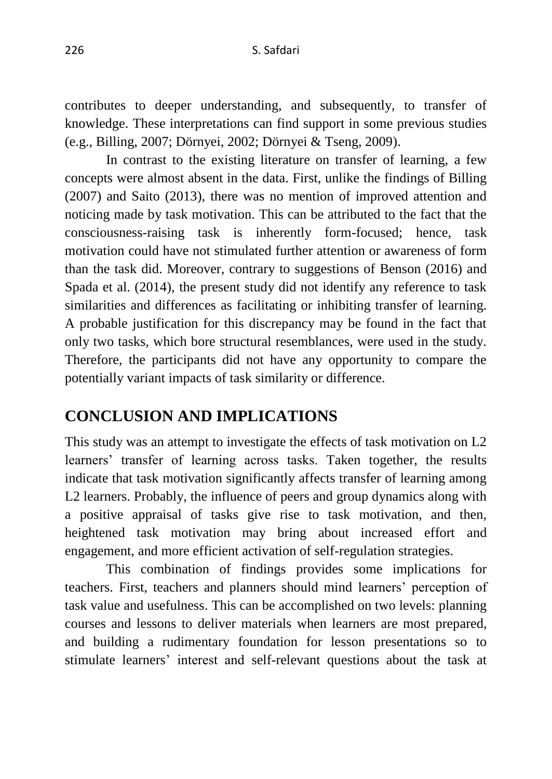contributes to deeper understanding, and subsequently, to transfer of knowledge. These interpretations can find support in some previous studies (e.g., Billing, 2007; Dörnyei, 2002; Dörnyei & Tseng, 2009).

In contrast to the existing literature on transfer of learning, a few concepts were almost absent in the data. First, unlike the findings of Billing (2007) and Saito (2013), there was no mention of improved attention and noticing made by task motivation. This can be attributed to the fact that the consciousness-raising task is inherently form-focused; hence, task motivation could have not stimulated further attention or awareness of form than the task did. Moreover, contrary to suggestions of Benson (2016) and Spada et al. (2014), the present study did not identify any reference to task similarities and differences as facilitating or inhibiting transfer of learning. A probable justification for this discrepancy may be found in the fact that only two tasks, which bore structural resemblances, were used in the study. Therefore, the participants did not have any opportunity to compare the potentially variant impacts of task similarity or difference.

# **CONCLUSION AND IMPLICATIONS**

This study was an attempt to investigate the effects of task motivation on L2 learners' transfer of learning across tasks. Taken together, the results indicate that task motivation significantly affects transfer of learning among L2 learners. Probably, the influence of peers and group dynamics along with a positive appraisal of tasks give rise to task motivation, and then, heightened task motivation may bring about increased effort and engagement, and more efficient activation of self-regulation strategies.

This combination of findings provides some implications for teachers. First, teachers and planners should mind learners' perception of task value and usefulness. This can be accomplished on two levels: planning courses and lessons to deliver materials when learners are most prepared, and building a rudimentary foundation for lesson presentations so to stimulate learners' interest and self-relevant questions about the task at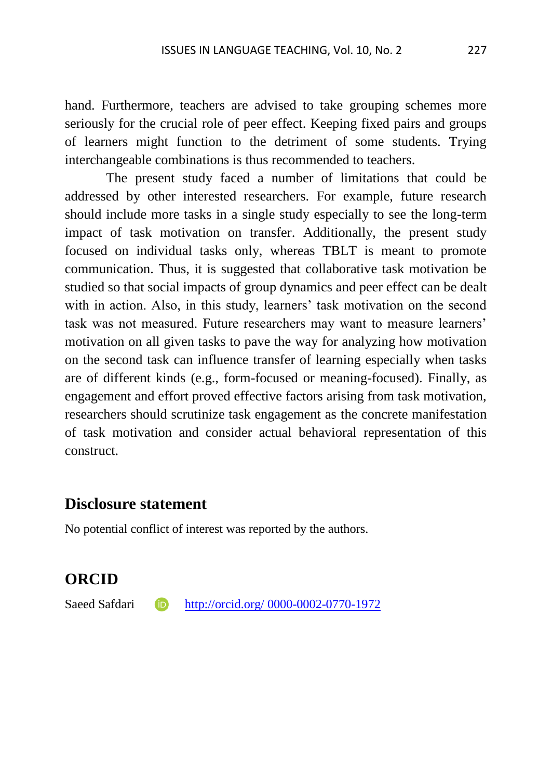hand. Furthermore, teachers are advised to take grouping schemes more seriously for the crucial role of peer effect. Keeping fixed pairs and groups of learners might function to the detriment of some students. Trying interchangeable combinations is thus recommended to teachers.

The present study faced a number of limitations that could be addressed by other interested researchers. For example, future research should include more tasks in a single study especially to see the long-term impact of task motivation on transfer. Additionally, the present study focused on individual tasks only, whereas TBLT is meant to promote communication. Thus, it is suggested that collaborative task motivation be studied so that social impacts of group dynamics and peer effect can be dealt with in action. Also, in this study, learners' task motivation on the second task was not measured. Future researchers may want to measure learners' motivation on all given tasks to pave the way for analyzing how motivation on the second task can influence transfer of learning especially when tasks are of different kinds (e.g., form-focused or meaning-focused). Finally, as engagement and effort proved effective factors arising from task motivation, researchers should scrutinize task engagement as the concrete manifestation of task motivation and consider actual behavioral representation of this construct.

#### **Disclosure statement**

No potential conflict of interest was reported by the authors.

## **ORCID**

Saeed Safdari **iD** [http://orcid.org/ 0000-0002-0770-1972](http://orcid.org/%200000-0002-0770-1972)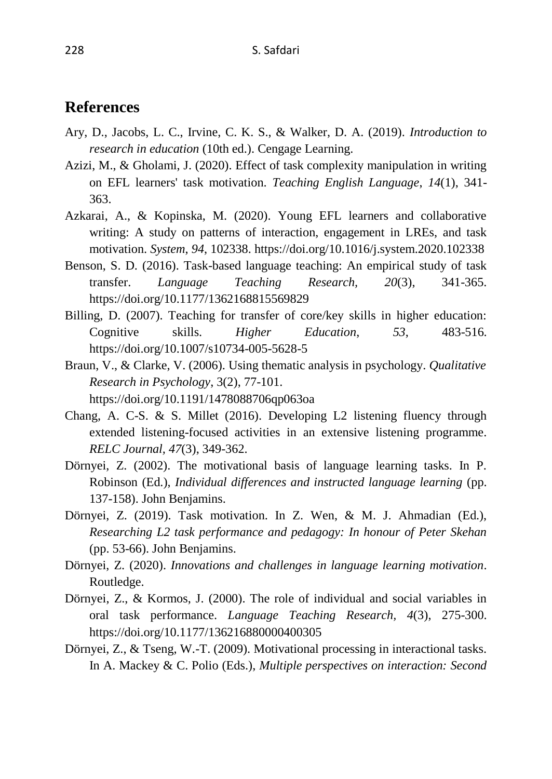### **References**

- Ary, D., Jacobs, L. C., Irvine, C. K. S., & Walker, D. A. (2019). *Introduction to research in education* (10th ed.). Cengage Learning.
- Azizi, M., & Gholami, J. (2020). Effect of task complexity manipulation in writing on EFL learners' task motivation. *Teaching English Language*, *14*(1), 341- 363.
- Azkarai, A., & Kopinska, M. (2020). Young EFL learners and collaborative writing: A study on patterns of interaction, engagement in LREs, and task motivation. *System*, *94*, 102338. https://doi.org/10.1016/j.system.2020.102338
- Benson, S. D. (2016). Task-based language teaching: An empirical study of task transfer. *Language Teaching Research, 20*(3), 341-365. https://doi.org/10.1177/1362168815569829
- Billing, D. (2007). Teaching for transfer of core/key skills in higher education: Cognitive skills. *Higher Education*, *53*, 483-516. https://doi.org/10.1007/s10734-005-5628-5
- Braun, V., & Clarke, V. (2006). Using thematic analysis in psychology. *Qualitative Research in Psychology*, 3(2), 77-101. https://doi.org/10.1191/1478088706qp063oa
- Chang, A. C-S. & S. Millet (2016). Developing L2 listening fluency through extended listening-focused activities in an extensive listening programme. *RELC Journal, 47*(3), 349-362.
- Dörnyei, Z. (2002). The motivational basis of language learning tasks. In P. Robinson (Ed.), *Individual differences and instructed language learning* (pp. 137-158). John Benjamins.
- Dörnyei, Z. (2019). Task motivation. In Z. Wen, & M. J. Ahmadian (Ed.), *Researching L2 task performance and pedagogy: In honour of Peter Skehan* (pp. 53-66). John Benjamins.
- Dörnyei, Z. (2020). *Innovations and challenges in language learning motivation*. Routledge.
- Dörnyei, Z., & Kormos, J. (2000). The role of individual and social variables in oral task performance. *Language Teaching Research, 4*(3), 275-300. https://doi.org/10.1177/136216880000400305
- Dörnyei, Z., & Tseng, W.-T. (2009). Motivational processing in interactional tasks. In A. Mackey & C. Polio (Eds.), *Multiple perspectives on interaction: Second*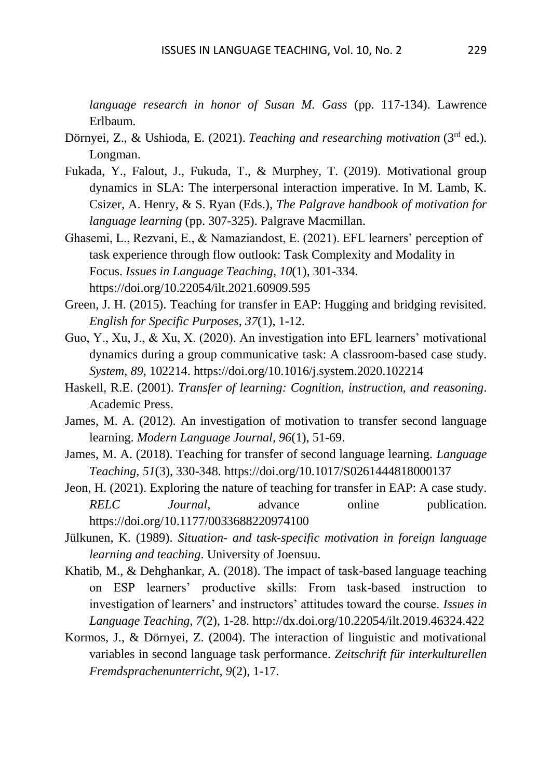*language research in honor of Susan M. Gass* (pp. 117-134). Lawrence Erlbaum.

- Dörnyei, Z., & Ushioda, E. (2021). *Teaching and researching motivation* (3<sup>rd</sup> ed.). Longman.
- Fukada, Y., Falout, J., Fukuda, T., & Murphey, T. (2019). Motivational group dynamics in SLA: The interpersonal interaction imperative. In M. Lamb, K. Csizer, A. Henry, & S. Ryan (Eds.), *The Palgrave handbook of motivation for language learning* (pp. 307-325). Palgrave Macmillan.
- Ghasemi, L., Rezvani, E., & Namaziandost, E. (2021). EFL learners' perception of task experience through flow outlook: Task Complexity and Modality in Focus. *Issues in Language Teaching*, *10*(1), 301-334. https://doi.org/10.22054/ilt.2021.60909.595
- Green, J. H. (2015). Teaching for transfer in EAP: Hugging and bridging revisited. *English for Specific Purposes, 37*(1), 1-12.
- Guo, Y., Xu, J., & Xu, X. (2020). An investigation into EFL learners' motivational dynamics during a group communicative task: A classroom-based case study. *System*, *89*, 102214. https://doi.org/10.1016/j.system.2020.102214
- Haskell, R.E. (2001). *Transfer of learning: Cognition, instruction, and reasoning*. Academic Press.
- James, M. A. (2012). An investigation of motivation to transfer second language learning. *Modern Language Journal, 96*(1), 51-69.
- James, M. A. (2018). Teaching for transfer of second language learning. *Language Teaching, 51*(3), 330-348. https://doi.org/10.1017/S0261444818000137
- Jeon, H. (2021). Exploring the nature of teaching for transfer in EAP: A case study. *RELC Journal*, advance online publication. https://doi.org/10.1177/0033688220974100
- Jülkunen, K. (1989). *Situation- and task-specific motivation in foreign language learning and teaching*. University of Joensuu.
- Khatib, M., & Dehghankar, A. (2018). The impact of task-based language teaching on ESP learners' productive skills: From task-based instruction to investigation of learners' and instructors' attitudes toward the course. *Issues in Language Teaching, 7*(2), 1-28. http://dx.doi.org/10.22054/ilt.2019.46324.422
- Kormos, J., & Dörnyei, Z. (2004). The interaction of linguistic and motivational variables in second language task performance. *Zeitschrift für interkulturellen Fremdsprachenunterricht, 9*(2), 1-17.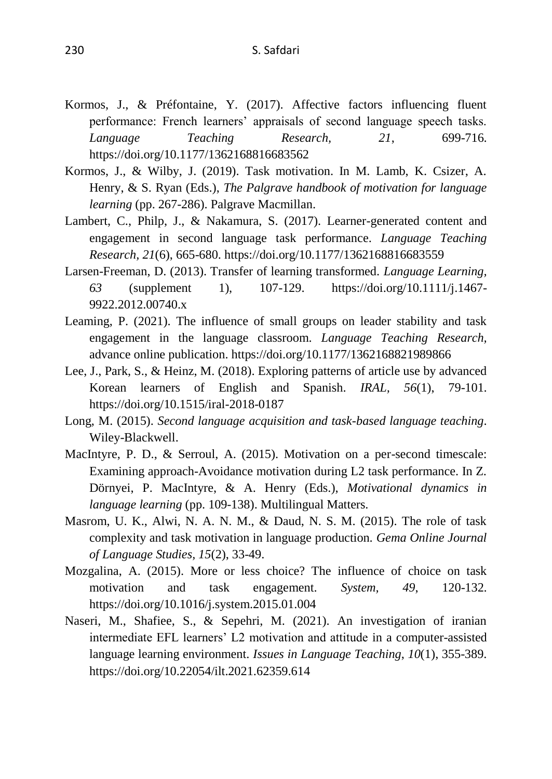- Kormos, J., & Préfontaine, Y. (2017). Affective factors influencing fluent performance: French learners' appraisals of second language speech tasks. *Language Teaching Research, 21*, 699-716. https://doi.org/10.1177/1362168816683562
- Kormos, J., & Wilby, J. (2019). Task motivation. In M. Lamb, K. Csizer, A. Henry, & S. Ryan (Eds.), *The Palgrave handbook of motivation for language learning* (pp. 267-286). Palgrave Macmillan.
- Lambert, C., Philp, J., & Nakamura, S. (2017). Learner-generated content and engagement in second language task performance. *Language Teaching Research, 21*(6), 665-680. https://doi.org/10.1177/1362168816683559
- Larsen-Freeman, D. (2013). Transfer of learning transformed. *Language Learning, 63* (supplement 1), 107-129. https://doi.org/10.1111/j.1467- 9922.2012.00740.x
- Leaming, P. (2021). The influence of small groups on leader stability and task engagement in the language classroom. *Language Teaching Research,* advance online publication. https://doi.org/10.1177/1362168821989866
- Lee, J., Park, S., & Heinz, M. (2018). Exploring patterns of article use by advanced Korean learners of English and Spanish. *IRAL, 56*(1), 79-101. https://doi.org/10.1515/iral-2018-0187
- Long, M. (2015). *Second language acquisition and task-based language teaching*. Wiley-Blackwell.
- MacIntyre, P. D., & Serroul, A. (2015). Motivation on a per-second timescale: Examining approach-Avoidance motivation during L2 task performance. In Z. Dörnyei, P. MacIntyre, & A. Henry (Eds.), *Motivational dynamics in language learning* (pp. 109-138). Multilingual Matters.
- Masrom, U. K., Alwi, N. A. N. M., & Daud, N. S. M. (2015). The role of task complexity and task motivation in language production. *Gema Online Journal of Language Studies, 15*(2), 33-49.
- Mozgalina, A. (2015). More or less choice? The influence of choice on task motivation and task engagement. *System, 49*, 120-132. https://doi.org/10.1016/j.system.2015.01.004
- Naseri, M., Shafiee, S., & Sepehri, M. (2021). An investigation of iranian intermediate EFL learners' L2 motivation and attitude in a computer-assisted language learning environment. *Issues in Language Teaching*, *10*(1), 355-389. https://doi.org/10.22054/ilt.2021.62359.614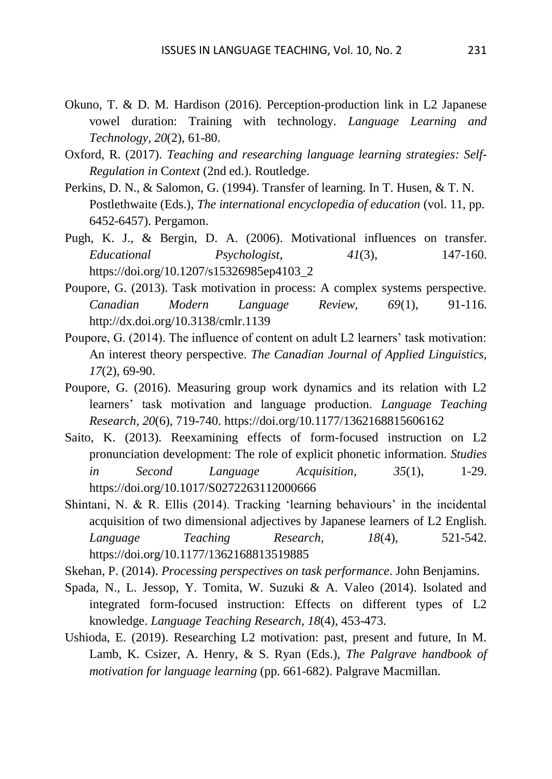- Okuno, T. & D. M. Hardison (2016). Perception-production link in L2 Japanese vowel duration: Training with technology. *Language Learning and Technology, 20*(2), 61-80.
- Oxford, R. (2017). *Teaching and researching language learning strategies: Self-Regulation in* C*ontext* (2nd ed.). Routledge.
- Perkins, D. N., & Salomon, G. (1994). Transfer of learning. In T. Husen, & T. N. Postlethwaite (Eds.), *The international encyclopedia of education* (vol. 11, pp. 6452-6457). Pergamon.
- Pugh, K. J., & Bergin, D. A. (2006). Motivational influences on transfer. *Educational Psychologist*, *41*(3), 147-160. https://doi.org/10.1207/s15326985ep4103\_2
- Poupore, G. (2013). Task motivation in process: A complex systems perspective. *Canadian Modern Language Review, 69*(1), 91-116. http://dx.doi.org/10.3138/cmlr.1139
- Poupore, G. (2014). The influence of content on adult L2 learners' task motivation: An interest theory perspective. *The Canadian Journal of Applied Linguistics, 17*(2), 69-90.
- Poupore, G. (2016). Measuring group work dynamics and its relation with L2 learners' task motivation and language production. *Language Teaching Research, 20*(6), 719-740. https://doi.org/10.1177/1362168815606162
- Saito, K. (2013). Reexamining effects of form-focused instruction on L2 pronunciation development: The role of explicit phonetic information. *Studies in Second Language Acquisition*, *35*(1), 1-29. https://doi.org/10.1017/S0272263112000666
- Shintani, N. & R. Ellis (2014). Tracking 'learning behaviours' in the incidental acquisition of two dimensional adjectives by Japanese learners of L2 English. *Language Teaching Research, 18*(4), 521-542. https://doi.org/10.1177/1362168813519885
- Skehan, P. (2014). *Processing perspectives on task performance*. John Benjamins.
- Spada, N., L. Jessop, Y. Tomita, W. Suzuki & A. Valeo (2014). Isolated and integrated form-focused instruction: Effects on different types of L2 knowledge. *Language Teaching Research, 18*(4), 453-473.
- Ushioda, E. (2019). Researching L2 motivation: past, present and future, In M. Lamb, K. Csizer, A. Henry, & S. Ryan (Eds.), *The Palgrave handbook of motivation for language learning* (pp. 661-682). Palgrave Macmillan.